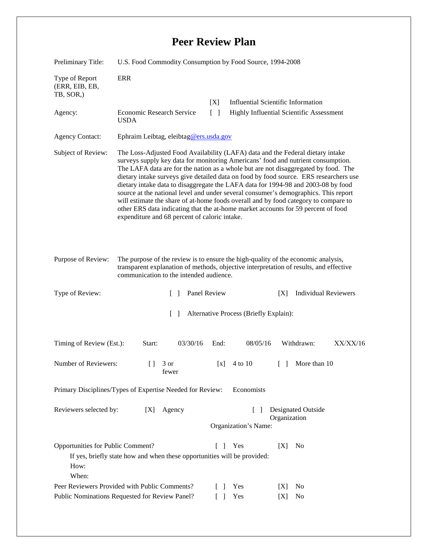## **Peer Review Plan**

| Preliminary Title:                                                                                                                                                                                                                           | U.S. Food Commodity Consumption by Food Source, 1994-2008                                                                                                                                                                                                                                                                                                                                                                                                                                                                                                                                                                                                                                                                                                  |                                                     |                                    |                                          |
|----------------------------------------------------------------------------------------------------------------------------------------------------------------------------------------------------------------------------------------------|------------------------------------------------------------------------------------------------------------------------------------------------------------------------------------------------------------------------------------------------------------------------------------------------------------------------------------------------------------------------------------------------------------------------------------------------------------------------------------------------------------------------------------------------------------------------------------------------------------------------------------------------------------------------------------------------------------------------------------------------------------|-----------------------------------------------------|------------------------------------|------------------------------------------|
| Type of Report<br>(ERR, EIB, EB,<br>TB, SOR,)                                                                                                                                                                                                | ERR                                                                                                                                                                                                                                                                                                                                                                                                                                                                                                                                                                                                                                                                                                                                                        |                                                     |                                    |                                          |
| Agency:                                                                                                                                                                                                                                      | Economic Research Service<br><b>USDA</b>                                                                                                                                                                                                                                                                                                                                                                                                                                                                                                                                                                                                                                                                                                                   | [X]<br>$\begin{bmatrix} \end{bmatrix}$              | Influential Scientific Information | Highly Influential Scientific Assessment |
| <b>Agency Contact:</b>                                                                                                                                                                                                                       | Ephraim Leibtag, eleibtag@ers.usda.gov                                                                                                                                                                                                                                                                                                                                                                                                                                                                                                                                                                                                                                                                                                                     |                                                     |                                    |                                          |
| Subject of Review:                                                                                                                                                                                                                           | The Loss-Adjusted Food Availability (LAFA) data and the Federal dietary intake<br>surveys supply key data for monitoring Americans' food and nutrient consumption.<br>The LAFA data are for the nation as a whole but are not disaggregated by food. The<br>dietary intake surveys give detailed data on food by food source. ERS researchers use<br>dietary intake data to disaggregate the LAFA data for 1994-98 and 2003-08 by food<br>source at the national level and under several consumer's demographics. This report<br>will estimate the share of at-home foods overall and by food category to compare to<br>other ERS data indicating that the at-home market accounts for 59 percent of food<br>expenditure and 68 percent of caloric intake. |                                                     |                                    |                                          |
| Purpose of Review:<br>The purpose of the review is to ensure the high-quality of the economic analysis,<br>transparent explanation of methods, objective interpretation of results, and effective<br>communication to the intended audience. |                                                                                                                                                                                                                                                                                                                                                                                                                                                                                                                                                                                                                                                                                                                                                            |                                                     |                                    |                                          |
| Type of Review:                                                                                                                                                                                                                              |                                                                                                                                                                                                                                                                                                                                                                                                                                                                                                                                                                                                                                                                                                                                                            | Panel Review                                        | [X]                                | <b>Individual Reviewers</b>              |
| $\lceil \; \rceil$<br>Alternative Process (Briefly Explain):                                                                                                                                                                                 |                                                                                                                                                                                                                                                                                                                                                                                                                                                                                                                                                                                                                                                                                                                                                            |                                                     |                                    |                                          |
| Timing of Review (Est.):                                                                                                                                                                                                                     | 03/30/16<br>Start:                                                                                                                                                                                                                                                                                                                                                                                                                                                                                                                                                                                                                                                                                                                                         | End:                                                | 08/05/16                           | Withdrawn:<br>XX/XX/16                   |
| Number of Reviewers:                                                                                                                                                                                                                         | $[$ ] 3 or<br>fewer                                                                                                                                                                                                                                                                                                                                                                                                                                                                                                                                                                                                                                                                                                                                        | [x]                                                 | 4 to 10                            | More than 10                             |
| Economists<br>Primary Disciplines/Types of Expertise Needed for Review:                                                                                                                                                                      |                                                                                                                                                                                                                                                                                                                                                                                                                                                                                                                                                                                                                                                                                                                                                            |                                                     |                                    |                                          |
| Reviewers selected by:<br>Agency<br>[X]                                                                                                                                                                                                      |                                                                                                                                                                                                                                                                                                                                                                                                                                                                                                                                                                                                                                                                                                                                                            | <b>Designated Outside</b><br>$\Box$<br>Organization |                                    |                                          |
|                                                                                                                                                                                                                                              |                                                                                                                                                                                                                                                                                                                                                                                                                                                                                                                                                                                                                                                                                                                                                            |                                                     | Organization's Name:               |                                          |
| Opportunities for Public Comment?<br>Yes<br>[X]<br>N <sub>0</sub><br>$\mathbf{I}$<br>$\mathbf{I}$<br>If yes, briefly state how and when these opportunities will be provided:<br>How:<br>When:                                               |                                                                                                                                                                                                                                                                                                                                                                                                                                                                                                                                                                                                                                                                                                                                                            |                                                     |                                    |                                          |
| Peer Reviewers Provided with Public Comments?                                                                                                                                                                                                |                                                                                                                                                                                                                                                                                                                                                                                                                                                                                                                                                                                                                                                                                                                                                            | $\Box$                                              | Yes<br>[X]                         | No                                       |
| Public Nominations Requested for Review Panel?                                                                                                                                                                                               |                                                                                                                                                                                                                                                                                                                                                                                                                                                                                                                                                                                                                                                                                                                                                            |                                                     | Yes<br>[X]                         | No                                       |